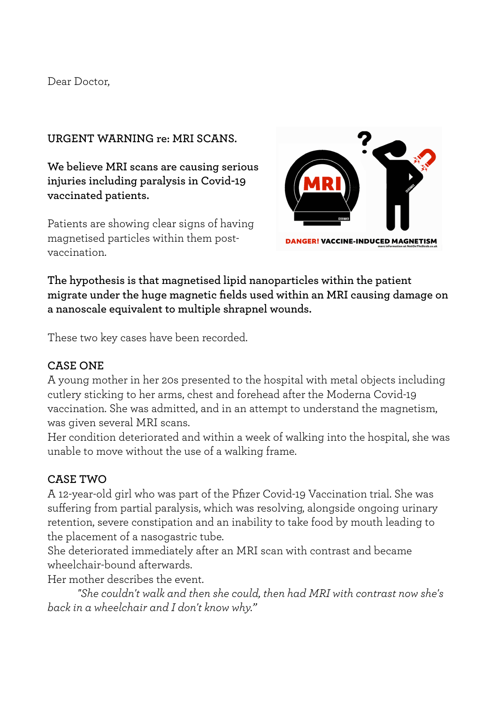#### Dear Doctor,

## **URGENT WARNING re: MRI SCANS.**

**We believe MRI scans are causing serious injuries including paralysis in Covid-19 vaccinated patients.**

Patients are showing clear signs of having magnetised particles within them postvaccination.



**The hypothesis is that magnetised lipid nanoparticles within the patient migrate under the huge magnetic fields used within an MRI causing damage on a nanoscale equivalent to multiple shrapnel wounds.**

These two key cases have been recorded.

## **CASE ONE**

A young mother in her 20s presented to the hospital with metal objects including cutlery sticking to her arms, chest and forehead after the Moderna Covid-19 vaccination. She was admitted, and in an attempt to understand the magnetism, was given several MRI scans.

Her condition deteriorated and within a week of walking into the hospital, she was unable to move without the use of a walking frame.

## **CASE TWO**

A 12-year-old girl who was part of the Pfizer Covid-19 Vaccination trial. She was suffering from partial paralysis, which was resolving, alongside ongoing urinary retention, severe constipation and an inability to take food by mouth leading to the placement of a nasogastric tube.

She deteriorated immediately after an MRI scan with contrast and became wheelchair-bound afterwards.

Her mother describes the event.

*"She couldn't walk and then she could, then had MRI with contrast now she's back in a wheelchair and I don't know why."*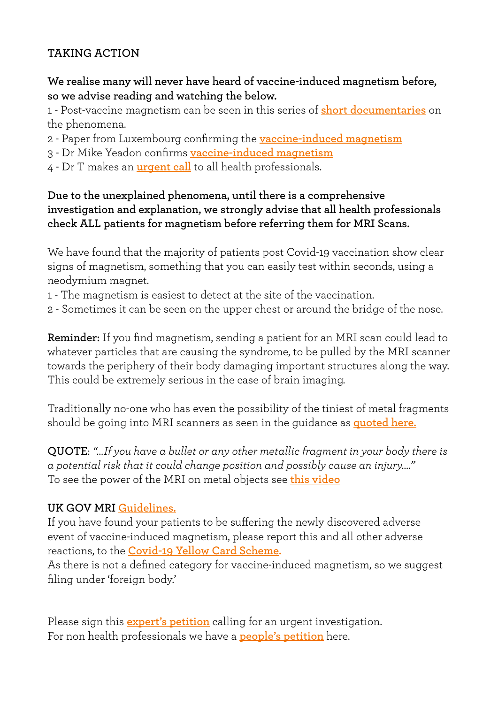# **TAKING ACTION**

**We realise many will never have heard of vaccine-induced magnetism before, so we advise reading and watching the below.**

1 - Post-vaccine magnetism can be seen in this series of **[short documentaries](https://www.notonthebeeb.co.uk/magnet-challenge)** on the phenomena.

- 2 Paper from Luxembourg confirming the **[vaccine-induced magnetism](https://www.notonthebeeb.co.uk/post/the-luxembourg-report-on-vaccine-induced-magnetism)**
- 3 Dr Mike Yeadon confirms **[vaccine-induced magnetism](https://www.notonthebeeb.co.uk/post/mike-yeadon-magnetism)**
- 4 Dr T makes an **[urgent call](https://www.notonthebeeb.co.uk/help)** to all health professionals.

## **Due to the unexplained phenomena, until there is a comprehensive investigation and explanation, we strongly advise that all health professionals check ALL patients for magnetism before referring them for MRI Scans.**

We have found that the majority of patients post Covid-19 vaccination show clear signs of magnetism, something that you can easily test within seconds, using a neodymium magnet.

- 1 The magnetism is easiest to detect at the site of the vaccination.
- 2 Sometimes it can be seen on the upper chest or around the bridge of the nose.

**Reminder:** If you find magnetism, sending a patient for an MRI scan could lead to whatever particles that are causing the syndrome, to be pulled by the MRI scanner towards the periphery of their body damaging important structures along the way. This could be extremely serious in the case of brain imaging.

Traditionally no-one who has even the possibility of the tiniest of metal fragments should be going into MRI scanners as seen in the guidance as **[quoted here.](https://www.radiologyinfo.org/en/info/safety-mr)**

**QUOTE**: *"…If you have a bullet or any other metallic fragment in your body there is a potential risk that it could change position and possibly cause an injury…."* To see the power of the MRI on metal objects see **[this video](https://www.youtube.com/watch?v=6BBx8BwLhqg)**

## **UK GOV MRI [Guidelines.](https://assets.publishing.service.gov.uk/government/uploads/system/uploads/attachment_data/file/958486/MRI_guidance_2021-4-03c.pdf)**

If you have found your patients to be suffering the newly discovered adverse event of vaccine-induced magnetism, please report this and all other adverse reactions, to the **[Covid-19 Yellow Card Scheme.](https://coronavirus-yellowcard.mhra.gov.uk)**

As there is not a defined category for vaccine-induced magnetism, so we suggest filing under 'foreign body.'

Please sign this **[expert's petition](https://www.notonthebeeb.co.uk/petition-experts)** calling for an urgent investigation. For non health professionals we have a **[people's petition](https://www.notonthebeeb.co.uk/petition-peoples)** here.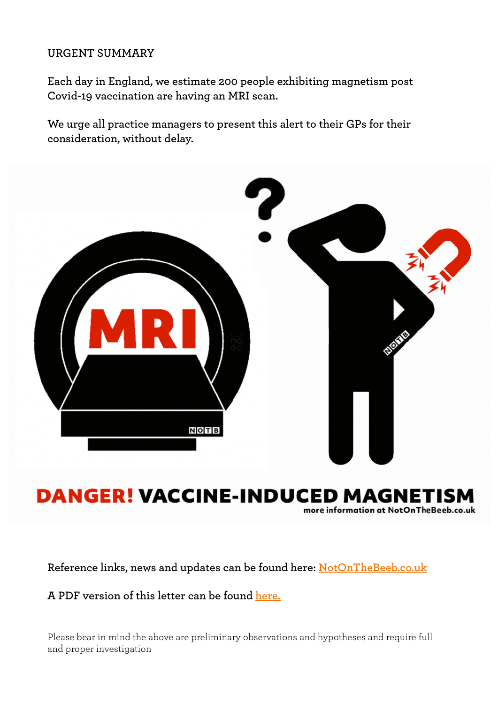#### **URGENT SUMMARY**

**Each day in England, we estimate 200 people exhibiting magnetism post Covid-19 vaccination are having an MRI scan.**

**We urge all practice managers to present this alert to their GPs for their consideration, without delay.**



# **DANGER! VACCINE-INDUCED MAGNETISM**

more information at NotOnTheBeeb.co.uk

**Reference links, news and updates can be found here: [NotOnTheBeeb.co.uk](http://www.NotOnTheBeeb.co.uk)**

**A PDF version of this letter can be found [here.](https://www.notonthebeeb.co.uk/post/gp-urgent-warning)**

Please bear in mind the above are preliminary observations and hypotheses and require full and proper investigation